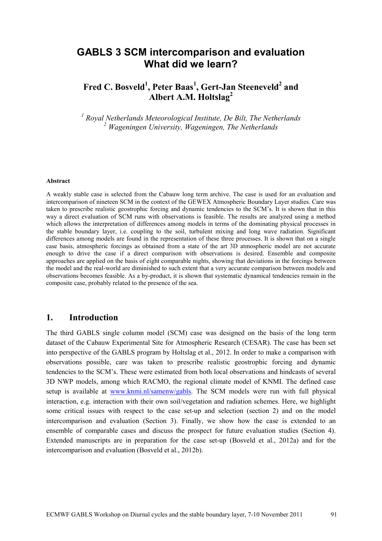# **GABLS 3 SCM intercomparison and evaluation What did we learn?**

## **Fred C. Bosveld<sup>1</sup> , Peter Baas<sup>1</sup> , Gert-Jan Steeneveld<sup>2</sup> and Albert A.M. Holtslag<sup>2</sup>**

*<sup>1</sup> Royal Netherlands Meteorological Institute, De Bilt, The Netherlands <sup>2</sup> Wageningen University, Wageningen, The Netherlands*

#### **Abstract**

A weakly stable case is selected from the Cabauw long term archive. The case is used for an evaluation and intercomparison of nineteen SCM in the context of the GEWEX Atmospheric Boundary Layer studies. Care was taken to prescribe realistic geostrophic forcing and dynamic tendencies to the SCM's. It is shown that in this way a direct evaluation of SCM runs with observations is feasible. The results are analyzed using a method which allows the interpretation of differences among models in terms of the dominating physical processes in the stable boundary layer, i.e. coupling to the soil, turbulent mixing and long wave radiation. Significant differences among models are found in the representation of these three processes. It is shown that on a single case basis, atmospheric forcings as obtained from a state of the art 3D atmospheric model are not accurate enough to drive the case if a direct comparison with observations is desired. Ensemble and composite approaches are applied on the basis of eight comparable nights, showing that deviations in the forcings between the model and the real-world are diminished to such extent that a very accurate comparison between models and observations becomes feasible. As a by-product, it is shown that systematic dynamical tendencies remain in the composite case, probably related to the presence of the sea.

### **1. Introduction**

The third GABLS single column model (SCM) case was designed on the basis of the long term dataset of the Cabauw Experimental Site for Atmospheric Research (CESAR). The case has been set into perspective of the GABLS program by Holtslag et al., 2012. In order to make a comparison with observations possible, care was taken to prescribe realistic geostrophic forcing and dynamic tendencies to the SCM's. These were estimated from both local observations and hindcasts of several 3D NWP models, among which RACMO, the regional climate model of KNMI. The defined case setup is available at [www.knmi.nl/samenw/gabls.](http://www.knmi.nl/samenw/gabls) The SCM models were run with full physical interaction, e.g. interaction with their own soil/vegetation and radiation schemes. Here, we highlight some critical issues with respect to the case set-up and selection (section 2) and on the model intercomparison and evaluation (Section 3). Finally, we show how the case is extended to an ensemble of comparable cases and discuss the prospect for future evaluation studies (Section 4). Extended manuscripts are in preparation for the case set-up (Bosveld et al., 2012a) and for the intercomparison and evaluation (Bosveld et al., 2012b).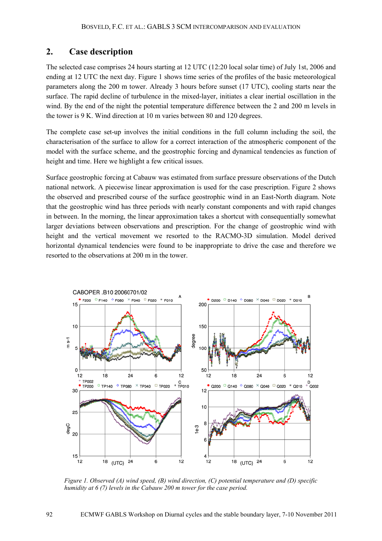#### **2. Case description**

The selected case comprises 24 hours starting at 12 UTC (12:20 local solar time) of July 1st, 2006 and ending at 12 UTC the next day. Figure 1 shows time series of the profiles of the basic meteorological parameters along the 200 m tower. Already 3 hours before sunset (17 UTC), cooling starts near the surface. The rapid decline of turbulence in the mixed-layer, initiates a clear inertial oscillation in the wind. By the end of the night the potential temperature difference between the 2 and 200 m levels in the tower is 9 K. Wind direction at 10 m varies between 80 and 120 degrees.

The complete case set-up involves the initial conditions in the full column including the soil, the characterisation of the surface to allow for a correct interaction of the atmospheric component of the model with the surface scheme, and the geostrophic forcing and dynamical tendencies as function of height and time. Here we highlight a few critical issues.

Surface geostrophic forcing at Cabauw was estimated from surface pressure observations of the Dutch national network. A piecewise linear approximation is used for the case prescription. Figure 2 shows the observed and prescribed course of the surface geostrophic wind in an East-North diagram. Note that the geostrophic wind has three periods with nearly constant components and with rapid changes in between. In the morning, the linear approximation takes a shortcut with consequentially somewhat larger deviations between observations and prescription. For the change of geostrophic wind with height and the vertical movement we resorted to the RACMO-3D simulation. Model derived horizontal dynamical tendencies were found to be inappropriate to drive the case and therefore we resorted to the observations at 200 m in the tower.



*Figure 1. Observed (A) wind speed, (B) wind direction, (C) potential temperature and (D) specific humidity at 6 (7) levels in the Cabauw 200 m tower for the case period.*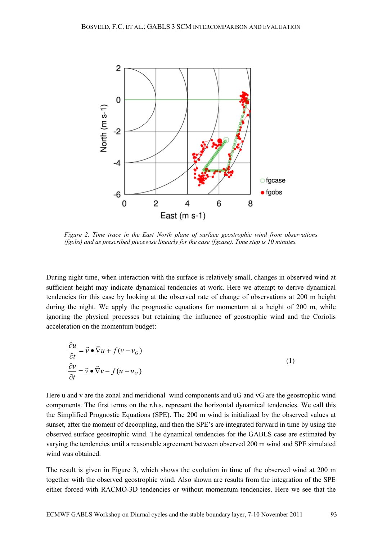

*Figure 2. Time trace in the East\_North plane of surface geostrophic wind from observations (fgobs) and as prescribed piecewise linearly for the case (fgcase). Time step is 10 minutes.* 

During night time, when interaction with the surface is relatively small, changes in observed wind at sufficient height may indicate dynamical tendencies at work. Here we attempt to derive dynamical tendencies for this case by looking at the observed rate of change of observations at 200 m height during the night. We apply the prognostic equations for momentum at a height of 200 m, while ignoring the physical processes but retaining the influence of geostrophic wind and the Coriolis acceleration on the momentum budget:

$$
\frac{\partial u}{\partial t} = \vec{v} \cdot \vec{\nabla} u + f(v - v_G)
$$
  
\n
$$
\frac{\partial v}{\partial t} = \vec{v} \cdot \vec{\nabla} v - f(u - u_G)
$$
\n(1)

Here u and v are the zonal and meridional wind components and uG and vG are the geostrophic wind components. The first terms on the r.h.s. represent the horizontal dynamical tendencies. We call this the Simplified Prognostic Equations (SPE). The 200 m wind is initialized by the observed values at sunset, after the moment of decoupling, and then the SPE's are integrated forward in time by using the observed surface geostrophic wind. The dynamical tendencies for the GABLS case are estimated by varying the tendencies until a reasonable agreement between observed 200 m wind and SPE simulated wind was obtained.

The result is given in Figure 3, which shows the evolution in time of the observed wind at 200 m together with the observed geostrophic wind. Also shown are results from the integration of the SPE either forced with RACMO-3D tendencies or without momentum tendencies. Here we see that the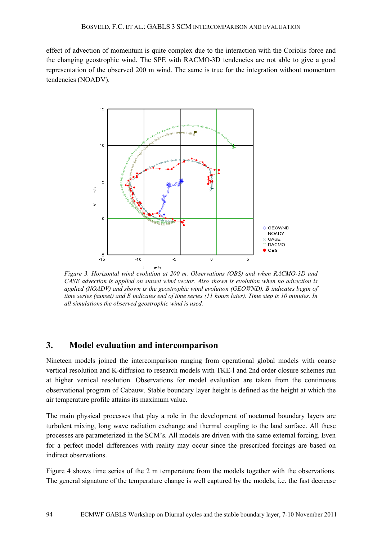effect of advection of momentum is quite complex due to the interaction with the Coriolis force and the changing geostrophic wind. The SPE with RACMO-3D tendencies are not able to give a good representation of the observed 200 m wind. The same is true for the integration without momentum tendencies (NOADV).



*Figure 3. Horizontal wind evolution at 200 m. Observations (OBS) and when RACMO-3D and CASE advection is applied on sunset wind vector. Also shown is evolution when no advection is applied (NOADV) and shown is the geostrophic wind evolution (GEOWND). B indicates begin of time series (sunset) and E indicates end of time series (11 hours later). Time step is 10 minutes. In all simulations the observed geostrophic wind is used.* 

#### **3. Model evaluation and intercomparison**

Nineteen models joined the intercomparison ranging from operational global models with coarse vertical resolution and K-diffusion to research models with TKE-l and 2nd order closure schemes run at higher vertical resolution. Observations for model evaluation are taken from the continuous observational program of Cabauw. Stable boundary layer height is defined as the height at which the air temperature profile attains its maximum value.

The main physical processes that play a role in the development of nocturnal boundary layers are turbulent mixing, long wave radiation exchange and thermal coupling to the land surface. All these processes are parameterized in the SCM's. All models are driven with the same external forcing. Even for a perfect model differences with reality may occur since the prescribed forcings are based on indirect observations.

Figure 4 shows time series of the 2 m temperature from the models together with the observations. The general signature of the temperature change is well captured by the models, i.e. the fast decrease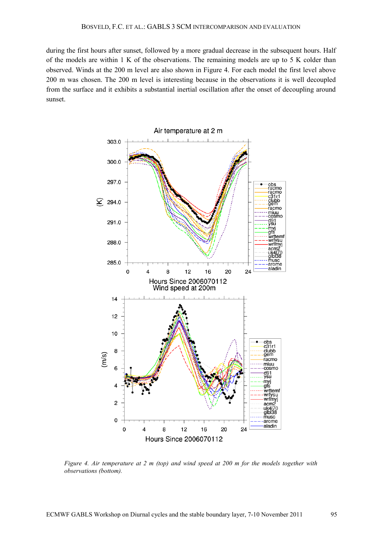during the first hours after sunset, followed by a more gradual decrease in the subsequent hours. Half of the models are within 1 K of the observations. The remaining models are up to 5 K colder than observed. Winds at the 200 m level are also shown in Figure 4. For each model the first level above 200 m was chosen. The 200 m level is interesting because in the observations it is well decoupled from the surface and it exhibits a substantial inertial oscillation after the onset of decoupling around sunset.



*Figure 4. Air temperature at 2 m (top) and wind speed at 200 m for the models together with observations (bottom).*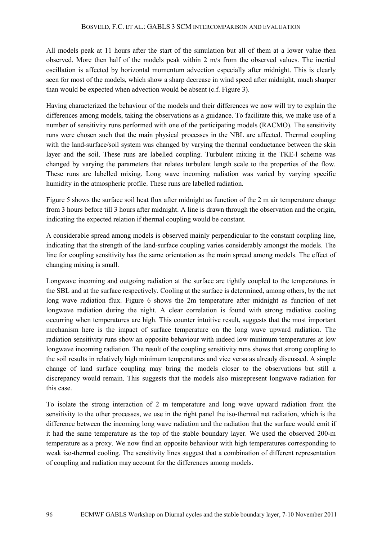All models peak at 11 hours after the start of the simulation but all of them at a lower value then observed. More then half of the models peak within 2 m/s from the observed values. The inertial oscillation is affected by horizontal momentum advection especially after midnight. This is clearly seen for most of the models, which show a sharp decrease in wind speed after midnight, much sharper than would be expected when advection would be absent (c.f. Figure 3).

Having characterized the behaviour of the models and their differences we now will try to explain the differences among models, taking the observations as a guidance. To facilitate this, we make use of a number of sensitivity runs performed with one of the participating models (RACMO). The sensitivity runs were chosen such that the main physical processes in the NBL are affected. Thermal coupling with the land-surface/soil system was changed by varying the thermal conductance between the skin layer and the soil. These runs are labelled coupling. Turbulent mixing in the TKE-l scheme was changed by varying the parameters that relates turbulent length scale to the properties of the flow. These runs are labelled mixing. Long wave incoming radiation was varied by varying specific humidity in the atmospheric profile. These runs are labelled radiation.

Figure 5 shows the surface soil heat flux after midnight as function of the 2 m air temperature change from 3 hours before till 3 hours after midnight. A line is drawn through the observation and the origin, indicating the expected relation if thermal coupling would be constant.

A considerable spread among models is observed mainly perpendicular to the constant coupling line, indicating that the strength of the land-surface coupling varies considerably amongst the models. The line for coupling sensitivity has the same orientation as the main spread among models. The effect of changing mixing is small.

Longwave incoming and outgoing radiation at the surface are tightly coupled to the temperatures in the SBL and at the surface respectively. Cooling at the surface is determined, among others, by the net long wave radiation flux. Figure 6 shows the 2m temperature after midnight as function of net longwave radiation during the night. A clear correlation is found with strong radiative cooling occurring when temperatures are high. This counter intuitive result, suggests that the most important mechanism here is the impact of surface temperature on the long wave upward radiation. The radiation sensitivity runs show an opposite behaviour with indeed low minimum temperatures at low longwave incoming radiation. The result of the coupling sensitivity runs shows that strong coupling to the soil results in relatively high minimum temperatures and vice versa as already discussed. A simple change of land surface coupling may bring the models closer to the observations but still a discrepancy would remain. This suggests that the models also misrepresent longwave radiation for this case.

To isolate the strong interaction of 2 m temperature and long wave upward radiation from the sensitivity to the other processes, we use in the right panel the iso-thermal net radiation, which is the difference between the incoming long wave radiation and the radiation that the surface would emit if it had the same temperature as the top of the stable boundary layer. We used the observed 200-m temperature as a proxy. We now find an opposite behaviour with high temperatures corresponding to weak iso-thermal cooling. The sensitivity lines suggest that a combination of different representation of coupling and radiation may account for the differences among models.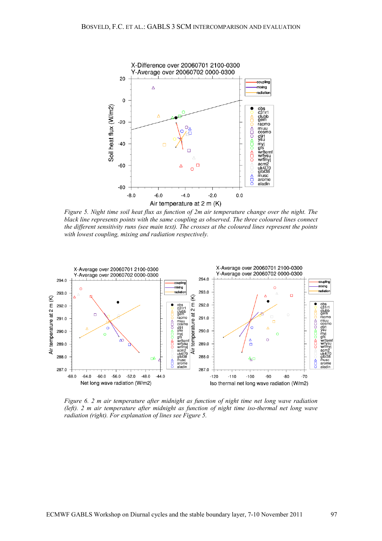

*Figure 5. Night time soil heat flux as function of 2m air temperature change over the night. The black line represents points with the same coupling as observed. The three coloured lines connect the different sensitivity runs (see main text). The crosses at the coloured lines represent the points with lowest coupling, mixing and radiation respectively.*



*Figure 6. 2 m air temperature after midnight as function of night time net long wave radiation (left). 2 m air temperature after midnight as function of night time iso-thermal net long wave radiation (right). For explanation of lines see Figure 5.*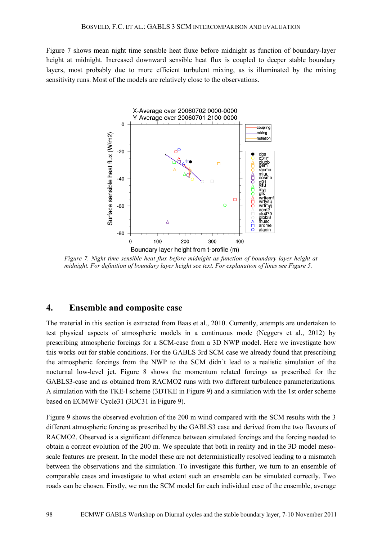Figure 7 shows mean night time sensible heat fluxe before midnight as function of boundary-layer height at midnight. Increased downward sensible heat flux is coupled to deeper stable boundary layers, most probably due to more efficient turbulent mixing, as is illuminated by the mixing sensitivity runs. Most of the models are relatively close to the observations.



*Figure 7. Night time sensible heat flux before midnight as function of boundary layer height at midnight. For definition of boundary layer height see text. For explanation of lines see Figure 5.*

#### **4. Ensemble and composite case**

The material in this section is extracted from Baas et al., 2010. Currently, attempts are undertaken to test physical aspects of atmospheric models in a continuous mode (Neggers et al., 2012) by prescribing atmospheric forcings for a SCM-case from a 3D NWP model. Here we investigate how this works out for stable conditions. For the GABLS 3rd SCM case we already found that prescribing the atmospheric forcings from the NWP to the SCM didn't lead to a realistic simulation of the nocturnal low-level jet. Figure 8 shows the momentum related forcings as prescribed for the GABLS3-case and as obtained from RACMO2 runs with two different turbulence parameterizations. A simulation with the TKE-l scheme (3DTKE in Figure 9) and a simulation with the 1st order scheme based on ECMWF Cycle31 (3DC31 in Figure 9).

Figure 9 shows the observed evolution of the 200 m wind compared with the SCM results with the 3 different atmospheric forcing as prescribed by the GABLS3 case and derived from the two flavours of RACMO2. Observed is a significant difference between simulated forcings and the forcing needed to obtain a correct evolution of the 200 m. We speculate that both in reality and in the 3D model mesoscale features are present. In the model these are not deterministically resolved leading to a mismatch between the observations and the simulation. To investigate this further, we turn to an ensemble of comparable cases and investigate to what extent such an ensemble can be simulated correctly. Two roads can be chosen. Firstly, we run the SCM model for each individual case of the ensemble, average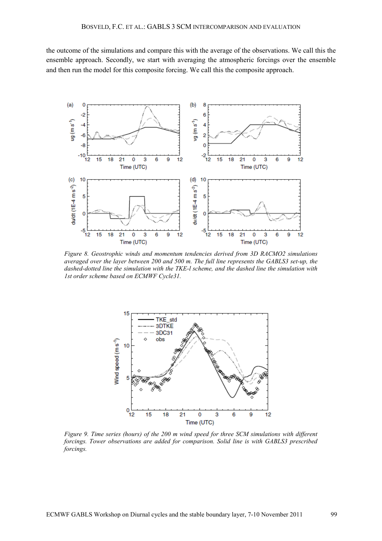the outcome of the simulations and compare this with the average of the observations. We call this the ensemble approach. Secondly, we start with averaging the atmospheric forcings over the ensemble and then run the model for this composite forcing. We call this the composite approach.



*Figure 8. Geostrophic winds and momentum tendencies derived from 3D RACMO2 simulations averaged over the layer between 200 and 500 m. The full line represents the GABLS3 set-up, the dashed-dotted line the simulation with the TKE-l scheme, and the dashed line the simulation with 1st order scheme based on ECMWF Cycle31.*



*Figure 9. Time series (hours) of the 200 m wind speed for three SCM simulations with different forcings. Tower observations are added for comparison. Solid line is with GABLS3 prescribed forcings.*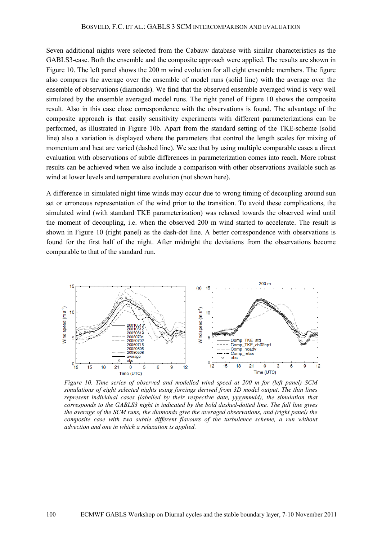#### BOSVELD, F.C. ET AL.: GABLS 3 SCM INTERCOMPARISON AND EVALUATION

Seven additional nights were selected from the Cabauw database with similar characteristics as the GABLS3-case. Both the ensemble and the composite approach were applied. The results are shown in Figure 10. The left panel shows the 200 m wind evolution for all eight ensemble members. The figure also compares the average over the ensemble of model runs (solid line) with the average over the ensemble of observations (diamonds). We find that the observed ensemble averaged wind is very well simulated by the ensemble averaged model runs. The right panel of Figure 10 shows the composite result. Also in this case close correspondence with the observations is found. The advantage of the composite approach is that easily sensitivity experiments with different parameterizations can be performed, as illustrated in Figure 10b. Apart from the standard setting of the TKE-scheme (solid line) also a variation is displayed where the parameters that control the length scales for mixing of momentum and heat are varied (dashed line). We see that by using multiple comparable cases a direct evaluation with observations of subtle differences in parameterization comes into reach. More robust results can be achieved when we also include a comparison with other observations available such as wind at lower levels and temperature evolution (not shown here).

A difference in simulated night time winds may occur due to wrong timing of decoupling around sun set or erroneous representation of the wind prior to the transition. To avoid these complications, the simulated wind (with standard TKE parameterization) was relaxed towards the observed wind until the moment of decoupling, i.e. when the observed 200 m wind started to accelerate. The result is shown in Figure 10 (right panel) as the dash-dot line. A better correspondence with observations is found for the first half of the night. After midnight the deviations from the observations become comparable to that of the standard run.



*Figure 10. Time series of observed and modelled wind speed at 200 m for (left panel) SCM simulations of eight selected nights using forcings derived from 3D model output. The thin lines represent individual cases (labelled by their respective date, yyyymmdd), the simulation that corresponds to the GABLS3 night is indicated by the bold dashed-dotted line. The full line gives the average of the SCM runs, the diamonds give the averaged observations, and (right panel) the composite case with two subtle different flavours of the turbulence scheme, a run without advection and one in which a relaxation is applied.*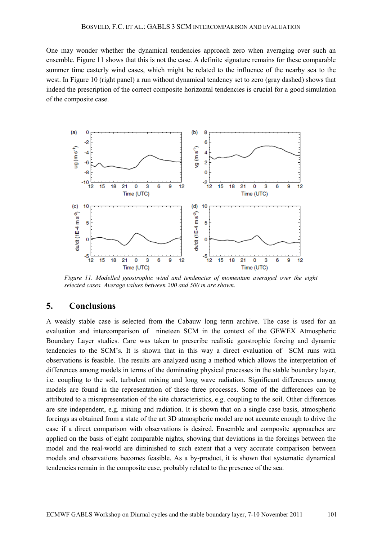One may wonder whether the dynamical tendencies approach zero when averaging over such an ensemble. Figure 11 shows that this is not the case. A definite signature remains for these comparable summer time easterly wind cases, which might be related to the influence of the nearby sea to the west. In Figure 10 (right panel) a run without dynamical tendency set to zero (gray dashed) shows that indeed the prescription of the correct composite horizontal tendencies is crucial for a good simulation of the composite case.



*Figure 11. Modelled geostrophic wind and tendencies of momentum averaged over the eight selected cases. Average values between 200 and 500 m are shown.*

#### **5. Conclusions**

A weakly stable case is selected from the Cabauw long term archive. The case is used for an evaluation and intercomparison of nineteen SCM in the context of the GEWEX Atmospheric Boundary Layer studies. Care was taken to prescribe realistic geostrophic forcing and dynamic tendencies to the SCM's. It is shown that in this way a direct evaluation of SCM runs with observations is feasible. The results are analyzed using a method which allows the interpretation of differences among models in terms of the dominating physical processes in the stable boundary layer, i.e. coupling to the soil, turbulent mixing and long wave radiation. Significant differences among models are found in the representation of these three processes. Some of the differences can be attributed to a misrepresentation of the site characteristics, e.g. coupling to the soil. Other differences are site independent, e.g. mixing and radiation. It is shown that on a single case basis, atmospheric forcings as obtained from a state of the art 3D atmospheric model are not accurate enough to drive the case if a direct comparison with observations is desired. Ensemble and composite approaches are applied on the basis of eight comparable nights, showing that deviations in the forcings between the model and the real-world are diminished to such extent that a very accurate comparison between models and observations becomes feasible. As a by-product, it is shown that systematic dynamical tendencies remain in the composite case, probably related to the presence of the sea.